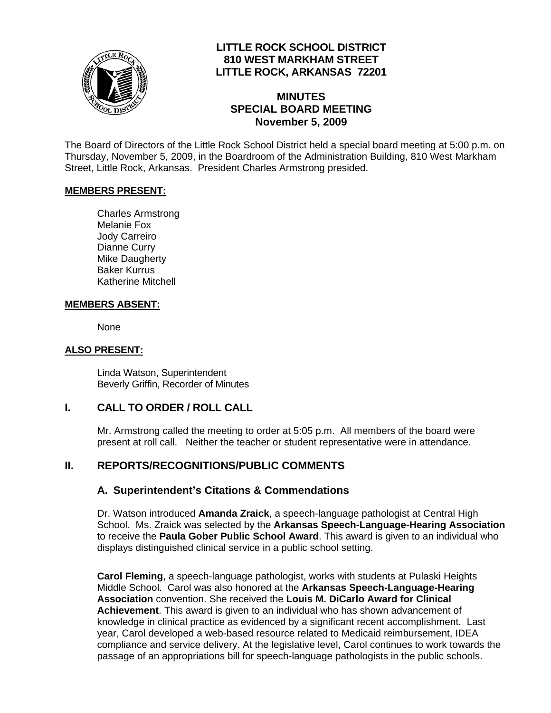

# **LITTLE ROCK SCHOOL DISTRICT 810 WEST MARKHAM STREET LITTLE ROCK, ARKANSAS 72201**

# **MINUTES SPECIAL BOARD MEETING November 5, 2009**

The Board of Directors of the Little Rock School District held a special board meeting at 5:00 p.m. on Thursday, November 5, 2009, in the Boardroom of the Administration Building, 810 West Markham Street, Little Rock, Arkansas. President Charles Armstrong presided.

#### **MEMBERS PRESENT:**

Charles Armstrong Melanie Fox Jody Carreiro Dianne Curry Mike Daugherty Baker Kurrus Katherine Mitchell

#### **MEMBERS ABSENT:**

None

### **ALSO PRESENT:**

 Linda Watson, Superintendent Beverly Griffin, Recorder of Minutes

## **I. CALL TO ORDER / ROLL CALL**

Mr. Armstrong called the meeting to order at 5:05 p.m. All members of the board were present at roll call. Neither the teacher or student representative were in attendance.

## **II. REPORTS/RECOGNITIONS/PUBLIC COMMENTS**

## **A. Superintendent's Citations & Commendations**

Dr. Watson introduced **Amanda Zraick**, a speech-language pathologist at Central High School. Ms. Zraick was selected by the **Arkansas Speech-Language-Hearing Association** to receive the **Paula Gober Public School Award**. This award is given to an individual who displays distinguished clinical service in a public school setting.

**Carol Fleming**, a speech-language pathologist, works with students at Pulaski Heights Middle School. Carol was also honored at the **Arkansas Speech-Language-Hearing Association** convention. She received the **Louis M. DiCarlo Award for Clinical Achievement**. This award is given to an individual who has shown advancement of knowledge in clinical practice as evidenced by a significant recent accomplishment. Last year, Carol developed a web-based resource related to Medicaid reimbursement, IDEA compliance and service delivery. At the legislative level, Carol continues to work towards the passage of an appropriations bill for speech-language pathologists in the public schools.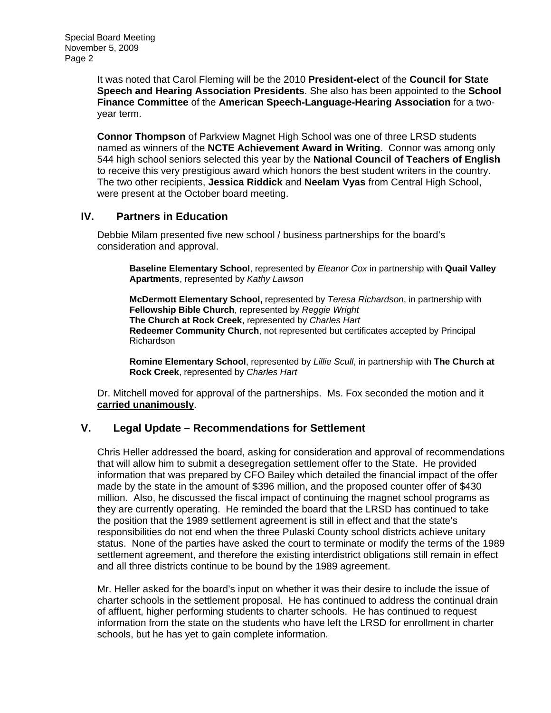Special Board Meeting November 5, 2009 Page 2

> It was noted that Carol Fleming will be the 2010 **President-elect** of the **Council for State Speech and Hearing Association Presidents**. She also has been appointed to the **School Finance Committee** of the **American Speech-Language-Hearing Association** for a twoyear term.

> **Connor Thompson** of Parkview Magnet High School was one of three LRSD students named as winners of the **NCTE Achievement Award in Writing**. Connor was among only 544 high school seniors selected this year by the **National Council of Teachers of English** to receive this very prestigious award which honors the best student writers in the country. The two other recipients, **Jessica Riddick** and **Neelam Vyas** from Central High School, were present at the October board meeting.

### **IV. Partners in Education**

Debbie Milam presented five new school / business partnerships for the board's consideration and approval.

**Baseline Elementary School**, represented by *Eleanor Cox* in partnership with **Quail Valley Apartments**, represented by *Kathy Lawson*

**McDermott Elementary School,** represented by *Teresa Richardson*, in partnership with **Fellowship Bible Church**, represented by *Reggie Wright* **The Church at Rock Creek**, represented by *Charles Hart*  **Redeemer Community Church**, not represented but certificates accepted by Principal Richardson

**Romine Elementary School**, represented by *Lillie Scull*, in partnership with **The Church at Rock Creek**, represented by *Charles Hart*

Dr. Mitchell moved for approval of the partnerships. Ms. Fox seconded the motion and it **carried unanimously**.

## **V. Legal Update – Recommendations for Settlement**

Chris Heller addressed the board, asking for consideration and approval of recommendations that will allow him to submit a desegregation settlement offer to the State. He provided information that was prepared by CFO Bailey which detailed the financial impact of the offer made by the state in the amount of \$396 million, and the proposed counter offer of \$430 million. Also, he discussed the fiscal impact of continuing the magnet school programs as they are currently operating. He reminded the board that the LRSD has continued to take the position that the 1989 settlement agreement is still in effect and that the state's responsibilities do not end when the three Pulaski County school districts achieve unitary status. None of the parties have asked the court to terminate or modify the terms of the 1989 settlement agreement, and therefore the existing interdistrict obligations still remain in effect and all three districts continue to be bound by the 1989 agreement.

Mr. Heller asked for the board's input on whether it was their desire to include the issue of charter schools in the settlement proposal. He has continued to address the continual drain of affluent, higher performing students to charter schools. He has continued to request information from the state on the students who have left the LRSD for enrollment in charter schools, but he has yet to gain complete information.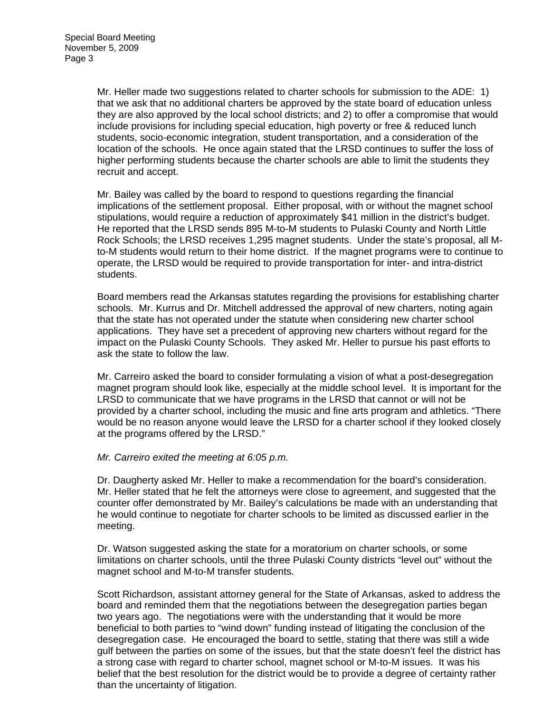Mr. Heller made two suggestions related to charter schools for submission to the ADE: 1) that we ask that no additional charters be approved by the state board of education unless they are also approved by the local school districts; and 2) to offer a compromise that would include provisions for including special education, high poverty or free & reduced lunch students, socio-economic integration, student transportation, and a consideration of the location of the schools. He once again stated that the LRSD continues to suffer the loss of higher performing students because the charter schools are able to limit the students they recruit and accept.

Mr. Bailey was called by the board to respond to questions regarding the financial implications of the settlement proposal. Either proposal, with or without the magnet school stipulations, would require a reduction of approximately \$41 million in the district's budget. He reported that the LRSD sends 895 M-to-M students to Pulaski County and North Little Rock Schools; the LRSD receives 1,295 magnet students. Under the state's proposal, all Mto-M students would return to their home district. If the magnet programs were to continue to operate, the LRSD would be required to provide transportation for inter- and intra-district students.

Board members read the Arkansas statutes regarding the provisions for establishing charter schools. Mr. Kurrus and Dr. Mitchell addressed the approval of new charters, noting again that the state has not operated under the statute when considering new charter school applications. They have set a precedent of approving new charters without regard for the impact on the Pulaski County Schools. They asked Mr. Heller to pursue his past efforts to ask the state to follow the law.

Mr. Carreiro asked the board to consider formulating a vision of what a post-desegregation magnet program should look like, especially at the middle school level. It is important for the LRSD to communicate that we have programs in the LRSD that cannot or will not be provided by a charter school, including the music and fine arts program and athletics. "There would be no reason anyone would leave the LRSD for a charter school if they looked closely at the programs offered by the LRSD."

#### *Mr. Carreiro exited the meeting at 6:05 p.m.*

Dr. Daugherty asked Mr. Heller to make a recommendation for the board's consideration. Mr. Heller stated that he felt the attorneys were close to agreement, and suggested that the counter offer demonstrated by Mr. Bailey's calculations be made with an understanding that he would continue to negotiate for charter schools to be limited as discussed earlier in the meeting.

Dr. Watson suggested asking the state for a moratorium on charter schools, or some limitations on charter schools, until the three Pulaski County districts "level out" without the magnet school and M-to-M transfer students.

Scott Richardson, assistant attorney general for the State of Arkansas, asked to address the board and reminded them that the negotiations between the desegregation parties began two years ago. The negotiations were with the understanding that it would be more beneficial to both parties to "wind down" funding instead of litigating the conclusion of the desegregation case. He encouraged the board to settle, stating that there was still a wide gulf between the parties on some of the issues, but that the state doesn't feel the district has a strong case with regard to charter school, magnet school or M-to-M issues. It was his belief that the best resolution for the district would be to provide a degree of certainty rather than the uncertainty of litigation.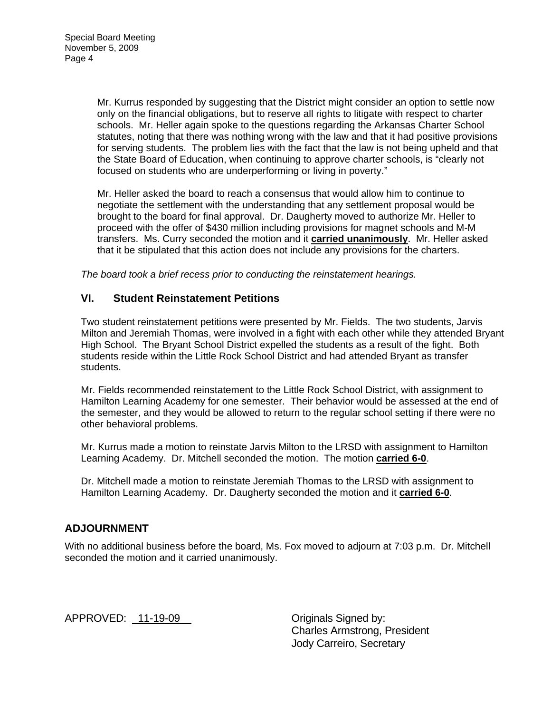Mr. Kurrus responded by suggesting that the District might consider an option to settle now only on the financial obligations, but to reserve all rights to litigate with respect to charter schools. Mr. Heller again spoke to the questions regarding the Arkansas Charter School statutes, noting that there was nothing wrong with the law and that it had positive provisions for serving students. The problem lies with the fact that the law is not being upheld and that the State Board of Education, when continuing to approve charter schools, is "clearly not focused on students who are underperforming or living in poverty."

Mr. Heller asked the board to reach a consensus that would allow him to continue to negotiate the settlement with the understanding that any settlement proposal would be brought to the board for final approval. Dr. Daugherty moved to authorize Mr. Heller to proceed with the offer of \$430 million including provisions for magnet schools and M-M transfers. Ms. Curry seconded the motion and it **carried unanimously**. Mr. Heller asked that it be stipulated that this action does not include any provisions for the charters.

*The board took a brief recess prior to conducting the reinstatement hearings.* 

### **VI. Student Reinstatement Petitions**

Two student reinstatement petitions were presented by Mr. Fields. The two students, Jarvis Milton and Jeremiah Thomas, were involved in a fight with each other while they attended Bryant High School. The Bryant School District expelled the students as a result of the fight. Both students reside within the Little Rock School District and had attended Bryant as transfer students.

Mr. Fields recommended reinstatement to the Little Rock School District, with assignment to Hamilton Learning Academy for one semester. Their behavior would be assessed at the end of the semester, and they would be allowed to return to the regular school setting if there were no other behavioral problems.

Mr. Kurrus made a motion to reinstate Jarvis Milton to the LRSD with assignment to Hamilton Learning Academy. Dr. Mitchell seconded the motion. The motion **carried 6-0**.

Dr. Mitchell made a motion to reinstate Jeremiah Thomas to the LRSD with assignment to Hamilton Learning Academy. Dr. Daugherty seconded the motion and it **carried 6-0**.

## **ADJOURNMENT**

With no additional business before the board, Ms. Fox moved to adjourn at 7:03 p.m. Dr. Mitchell seconded the motion and it carried unanimously.

APPROVED: 11-19-09\_

 Charles Armstrong, President Jody Carreiro, Secretary